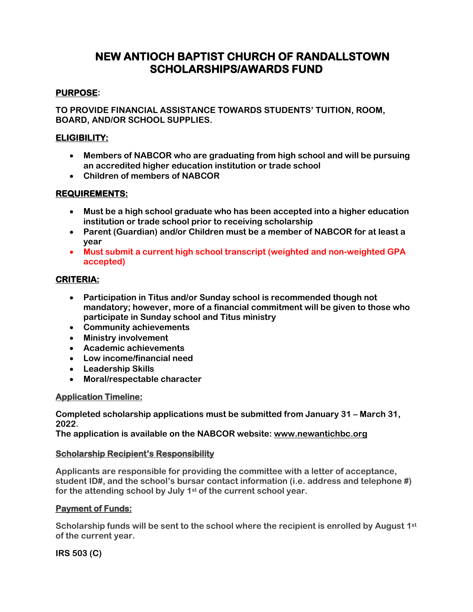## **NEW ANTIOCH BAPTIST CHURCH OF RANDALLSTOWN SCHOLARSHIPS/AWARDS FUND**

### **PURPOSE:**

**TO PROVIDE FINANCIAL ASSISTANCE TOWARDS STUDENTS' TUITION, ROOM, BOARD, AND/OR SCHOOL SUPPLIES.**

### **ELIGIBILITY:**

- **Members of NABCOR who are graduating from high school and will be pursuing an accredited higher education institution or trade school**
- **Children of members of NABCOR**

### **REQUIREMENTS:**

- **Must be a high school graduate who has been accepted into a higher education institution or trade school prior to receiving scholarship**
- **Parent (Guardian) and/or Children must be a member of NABCOR for at least a year**
- **Must submit a current high school transcript (weighted and non-weighted GPA accepted)**

### **CRITERIA:**

- **Participation in Titus and/or Sunday school is recommended though not mandatory; however, more of a financial commitment will be given to those who participate in Sunday school and Titus ministry**
- **Community achievements**
- **Ministry involvement**
- **Academic achievements**
- **Low income/financial need**
- **Leadership Skills**
- **Moral/respectable character**

#### **Application Timeline:**

**Completed scholarship applications must be submitted from January 31 – March 31, 2022.** 

**The application is available on the NABCOR website: [www.newantichbc.org](http://www.newantichbc.org/)**

#### **Scholarship Recipient's Responsibility**

**Applicants are responsible for providing the committee with a letter of acceptance, student ID#, and the school's bursar contact information (i.e. address and telephone #) for the attending school by July 1st of the current school year.**

#### **Payment of Funds:**

**Scholarship funds will be sent to the school where the recipient is enrolled by August 1st of the current year.**

**IRS 503 (C)**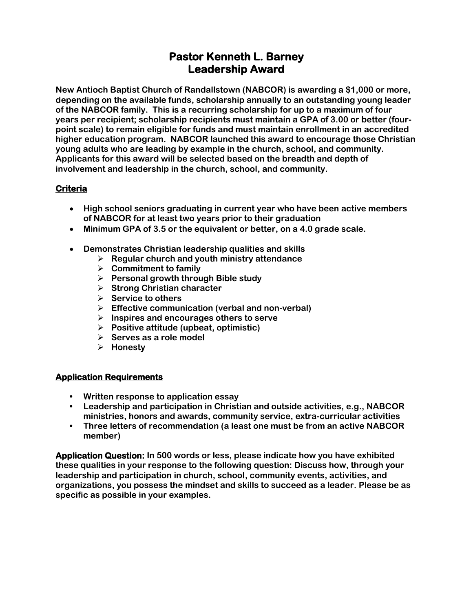## **Pastor Kenneth L. Barney Leadership Award**

**New Antioch Baptist Church of Randallstown (NABCOR) is awarding a \$1,000 or more, depending on the available funds, scholarship annually to an outstanding young leader of the NABCOR family. This is a recurring scholarship for up to a maximum of four years per recipient; scholarship recipients must maintain a GPA of 3.00 or better (fourpoint scale) to remain eligible for funds and must maintain enrollment in an accredited higher education program. NABCOR launched this award to encourage those Christian young adults who are leading by example in the church, school, and community. Applicants for this award will be selected based on the breadth and depth of involvement and leadership in the church, school, and community.** 

## **Criteria**

- **High school seniors graduating in current year who have been active members of NABCOR for at least two years prior to their graduation**
- **Minimum GPA of 3.5 or the equivalent or better, on a 4.0 grade scale.**
- **Demonstrates Christian leadership qualities and skills**
	- ➢ **Regular church and youth ministry attendance**
	- ➢ **Commitment to family**
	- ➢ **Personal growth through Bible study**
	- ➢ **Strong Christian character**
	- ➢ **Service to others**
	- ➢ **Effective communication (verbal and non-verbal)**
	- ➢ **Inspires and encourages others to serve**
	- ➢ **Positive attitude (upbeat, optimistic)**
	- ➢ **Serves as a role model**
	- ➢ **Honesty**

### **Application Requirements**

- **• Written response to application essay**
- **• Leadership and participation in Christian and outside activities, e.g., NABCOR ministries, honors and awards, community service, extra-curricular activities**
- **• Three letters of recommendation (a least one must be from an active NABCOR member)**

**Application Question: In 500 words or less, please indicate how you have exhibited these qualities in your response to the following question: Discuss how, through your leadership and participation in church, school, community events, activities, and organizations, you possess the mindset and skills to succeed as a leader. Please be as specific as possible in your examples.**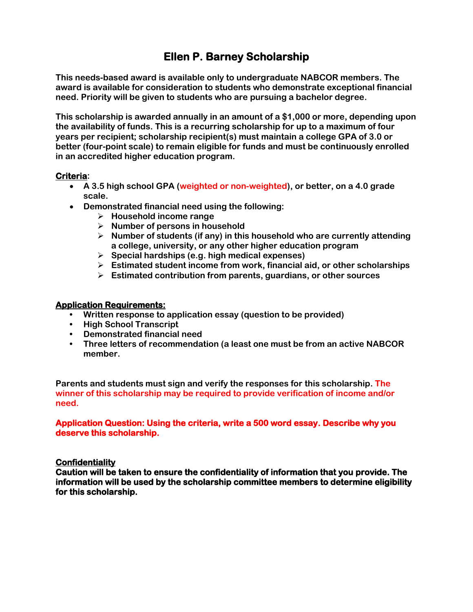## **Ellen P. Barney Scholarship**

**This needs-based award is available only to undergraduate NABCOR members. The award is available for consideration to students who demonstrate exceptional financial need. Priority will be given to students who are pursuing a bachelor degree.** 

**This scholarship is awarded annually in an amount of a \$1,000 or more, depending upon the availability of funds. This is a recurring scholarship for up to a maximum of four years per recipient; scholarship recipient(s) must maintain a college GPA of 3.0 or better (four-point scale) to remain eligible for funds and must be continuously enrolled in an accredited higher education program.** 

#### **Criteria:**

- **A 3.5 high school GPA (weighted or non-weighted), or better, on a 4.0 grade scale.**
- **Demonstrated financial need using the following:**
	- ➢ **Household income range**
	- ➢ **Number of persons in household**
	- ➢ **Number of students (if any) in this household who are currently attending a college, university, or any other higher education program**
	- ➢ **Special hardships (e.g. high medical expenses)**
	- ➢ **Estimated student income from work, financial aid, or other scholarships**
	- ➢ **Estimated contribution from parents, guardians, or other sources**

#### **Application Requirements:**

- **• Written response to application essay (question to be provided)**
- **• High School Transcript**
- **• Demonstrated financial need**
- **• Three letters of recommendation (a least one must be from an active NABCOR member.**

**Parents and students must sign and verify the responses for this scholarship. The winner of this scholarship may be required to provide verification of income and/or need.**

#### **Application Question: Using the criteria, write a 500 word essay. Describe why you deserve this scholarship.**

#### **Confidentiality**

**Caution will be taken to ensure the confidentiality of information that you provide. The information will be used by the scholarship committee members to determine eligibility for this scholarship.**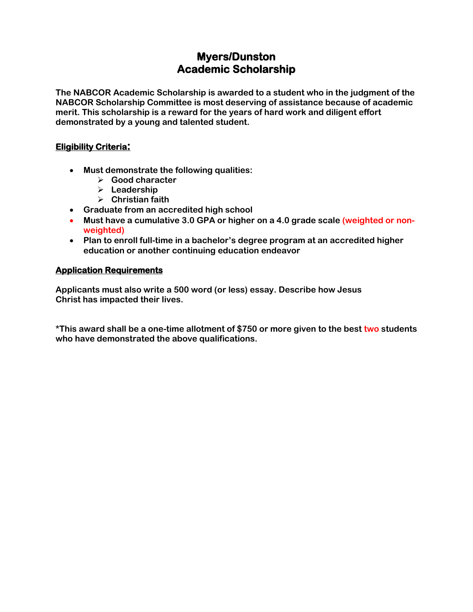## **Myers/Dunston Academic Scholarship**

**The NABCOR Academic Scholarship is awarded to a student who in the judgment of the NABCOR Scholarship Committee is most deserving of assistance because of academic merit. This scholarship is a reward for the years of hard work and diligent effort demonstrated by a young and talented student.**

### **Eligibility Criteria:**

- **Must demonstrate the following qualities:**
	- ➢ **Good character**
	- ➢ **Leadership**
	- ➢ **Christian faith**
- **Graduate from an accredited high school**
- **Must have a cumulative 3.0 GPA or higher on a 4.0 grade scale (weighted or nonweighted)**
- **Plan to enroll full-time in a bachelor's degree program at an accredited higher education or another continuing education endeavor**

### **Application Requirements**

**Applicants must also write a 500 word (or less) essay. Describe how Jesus Christ has impacted their lives.**

**\*This award shall be a one-time allotment of \$750 or more given to the best two students who have demonstrated the above qualifications.**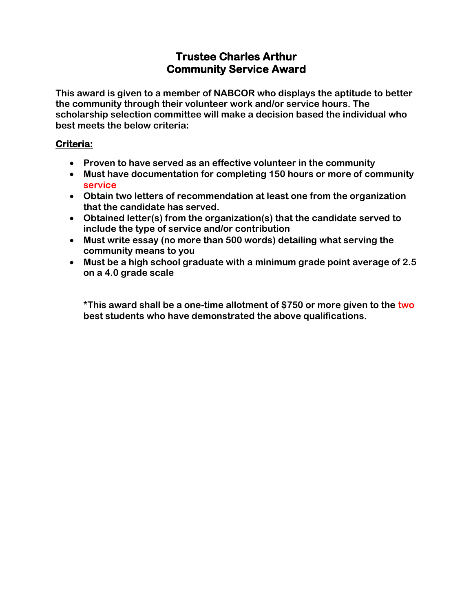## **Trustee Charles Arthur Community Service Award**

**This award is given to a member of NABCOR who displays the aptitude to better the community through their volunteer work and/or service hours. The scholarship selection committee will make a decision based the individual who best meets the below criteria:**

## **Criteria:**

- **Proven to have served as an effective volunteer in the community**
- **Must have documentation for completing 150 hours or more of community service**
- **Obtain two letters of recommendation at least one from the organization that the candidate has served.**
- **Obtained letter(s) from the organization(s) that the candidate served to include the type of service and/or contribution**
- **Must write essay (no more than 500 words) detailing what serving the community means to you**
- **Must be a high school graduate with a minimum grade point average of 2.5 on a 4.0 grade scale**

**\*This award shall be a one-time allotment of \$750 or more given to the two best students who have demonstrated the above qualifications.**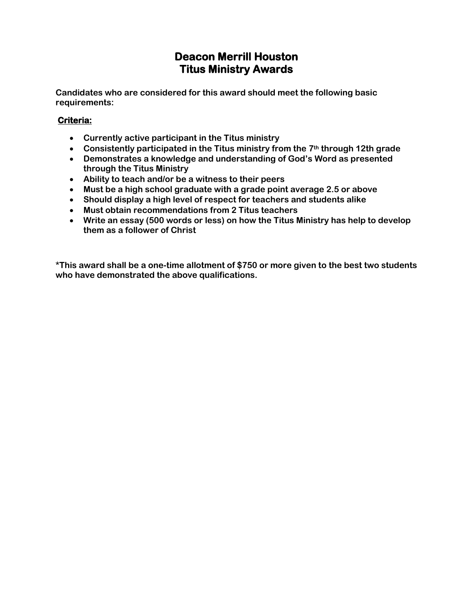## **Deacon Merrill Houston Titus Ministry Awards**

**Candidates who are considered for this award should meet the following basic requirements:**

### **Criteria:**

- **Currently active participant in the Titus ministry**
- **Consistently participated in the Titus ministry from the 7th through 12th grade**
- **Demonstrates a knowledge and understanding of God's Word as presented through the Titus Ministry**
- **Ability to teach and/or be a witness to their peers**
- **Must be a high school graduate with a grade point average 2.5 or above**
- **Should display a high level of respect for teachers and students alike**
- **Must obtain recommendations from 2 Titus teachers**
- **Write an essay (500 words or less) on how the Titus Ministry has help to develop them as a follower of Christ**

**\*This award shall be a one-time allotment of \$750 or more given to the best two students who have demonstrated the above qualifications.**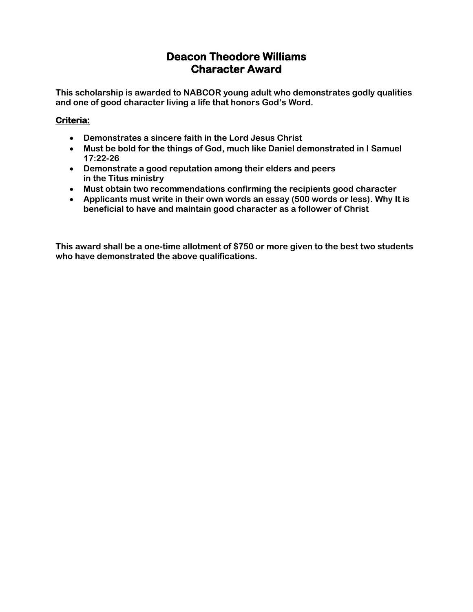## **Deacon Theodore Williams Character Award**

**This scholarship is awarded to NABCOR young adult who demonstrates godly qualities and one of good character living a life that honors God's Word.** 

## **Criteria:**

- **Demonstrates a sincere faith in the Lord Jesus Christ**
- **Must be bold for the things of God, much like Daniel demonstrated in I Samuel 17:22-26**
- **Demonstrate a good reputation among their elders and peers in the Titus ministry**
- **Must obtain two recommendations confirming the recipients good character**
- **Applicants must write in their own words an essay (500 words or less). Why It is beneficial to have and maintain good character as a follower of Christ**

**This award shall be a one-time allotment of \$750 or more given to the best two students who have demonstrated the above qualifications.**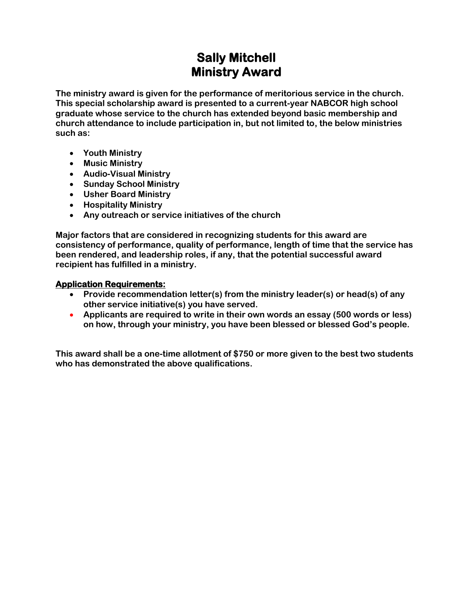# **Sally Mitchell Ministry Award**

**The ministry award is given for the performance of meritorious service in the church. This special scholarship award is presented to a current-year NABCOR high school graduate whose service to the church has extended beyond basic membership and church attendance to include participation in, but not limited to, the below ministries such as:**

- **Youth Ministry**
- **Music Ministry**
- **Audio-Visual Ministry**
- **Sunday School Ministry**
- **Usher Board Ministry**
- **Hospitality Ministry**
- **Any outreach or service initiatives of the church**

**Major factors that are considered in recognizing students for this award are consistency of performance, quality of performance, length of time that the service has been rendered, and leadership roles, if any, that the potential successful award recipient has fulfilled in a ministry.**

#### **Application Requirements:**

- **Provide recommendation letter(s) from the ministry leader(s) or head(s) of any other service initiative(s) you have served.**
- **Applicants are required to write in their own words an essay (500 words or less) on how, through your ministry, you have been blessed or blessed God's people.**

**This award shall be a one-time allotment of \$750 or more given to the best two students who has demonstrated the above qualifications.**